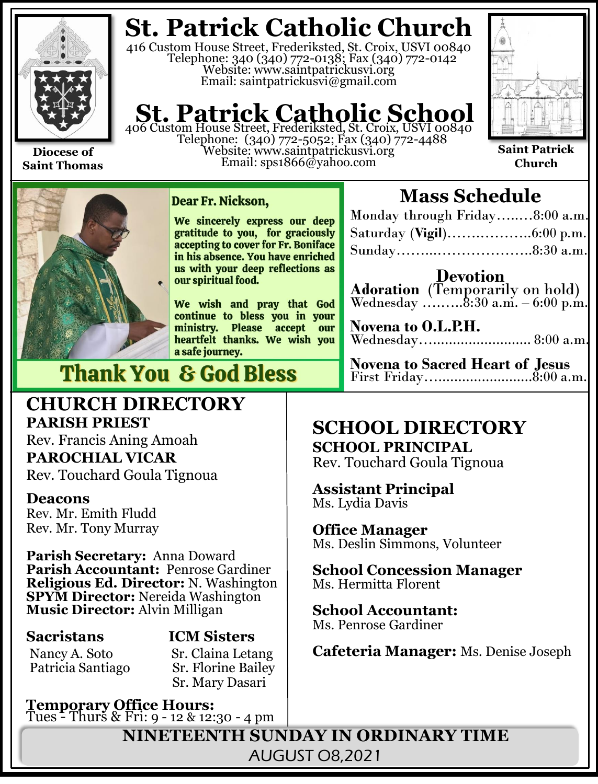

**Diocese of Saint Thomas**

## **St. Patrick Catholic Church**

416 Custom House Street, Frederiksted, St. Croix, USVI 00840 Telephone: 340 (340) 772-0138; Fax (340) 772-0142 Website: www.saintpatrickusvi.org Email: saintpatrickusvi@gmail.com

## **St. Patrick Catholic School**<br>406 Custom House Street, Frederiksted, St. Croix, USVI 00840

Telephone: (340) 772-5052; Fax (340) 772-4488 Website: www.saintpatrickusvi.org Email: sps1866@yahoo.com



**Saint Patrick Church**



Dear Fr. Nickson,

We sincerely express our deep gratitude to you, for graciously accepting to cover for Fr. Boniface in his absence. You have enriched us with your deep reflections as our spiritual food.

We wish and pray that God continue to bless you in your ministry. Please accept our<br>heartfelt thanks. We wish you a safe journey.

## **Thank You & God Bless**

## **CHURCH DIRECTORY PARISH PRIEST**

Rev. Francis Aning Amoah **PAROCHIAL VICAR**

Rev. Touchard Goula Tignoua

### **Deacons**

Rev. Mr. Emith Fludd Rev. Mr. Tony Murray

**Parish Secretary:** Anna Doward **Parish Accountant:** Penrose Gardiner **Religious Ed. Director:** N. Washington **SPYM Director:** Nereida Washington **Music Director:** Alvin Milligan

Patricia Santiago

## **Sacristans ICM Sisters**

Nancy A. Soto Sr. Claina Letang<br>Patricia Santiago Sr. Florine Bailey Sr. Mary Dasari

**Temporary Office Hours:**  Tues - Thurs & Fri: 9 - 12 & 12:30 - 4 pm

## **Mass Schedule**

| Monday through Friday8:00 a.m. |  |
|--------------------------------|--|
|                                |  |
|                                |  |

**Devotion Adoration** (Temporarily on hold) Wednesday ….......8:30 a.m. – 6:00 p.m.

**Novena to O.L.P.H.** Wednesday…......................... 8:00 a.m.

**Novena to Sacred Heart of Jesus** First Friday…........................8:00 a.m.

## **SCHOOL DIRECTORY**

**SCHOOL PRINCIPAL** Rev. Touchard Goula Tignoua

**Assistant Principal** Ms. Lydia Davis

### **Office Manager**

Ms. Deslin Simmons, Volunteer

#### **School Concession Manager** Ms. Hermitta Florent

**School Accountant:**  Ms. Penrose Gardiner

**Cafeteria Manager:** Ms. Denise Joseph

**NINETEENTH SUNDAY IN ORDINARY TIME** AUGUST O8,2021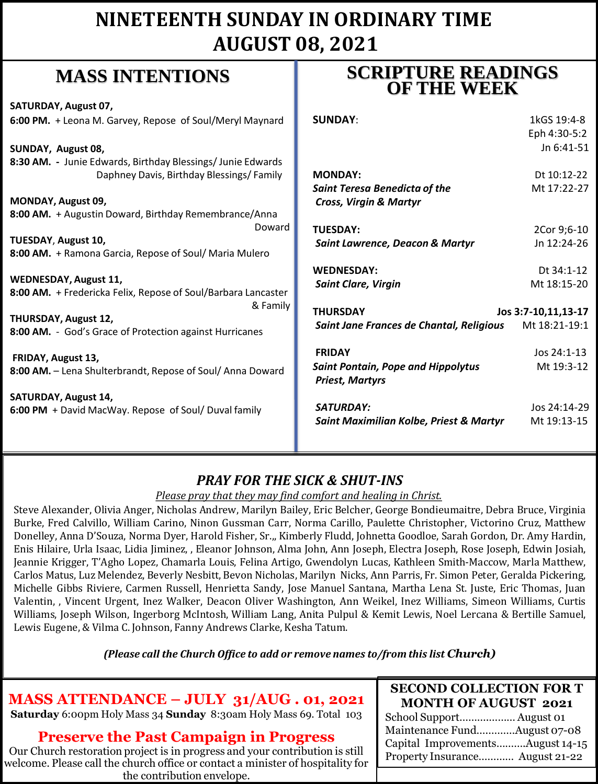## **NINETEENTH SUNDAY IN ORDINARY TIME AUGUST 08, 2021**

## **MASS INTENTIONS**

**SATURDAY, August 07, 6:00 PM.** + Leona M. Garvey, Repose of Soul/Meryl Maynard **SUNDAY, August 08, 8:30 AM. -** Junie Edwards, Birthday Blessings/ Junie Edwards Daphney Davis, Birthday Blessings/ Family **MONDAY, August 09, 8:00 AM.** + Augustin Doward, Birthday Remembrance/Anna Doward **TUESDAY**, **August 10, 8:00 AM.** + Ramona Garcia, Repose of Soul/ Maria Mulero **WEDNESDAY, August 11, 8:00 AM.** + Fredericka Felix, Repose of Soul/Barbara Lancaster & Family **THURSDAY, August 12, 8:00 AM.** - God's Grace of Protection against Hurricanes **FRIDAY, August 13, 8:00 AM.** – Lena Shulterbrandt, Repose of Soul/ Anna Doward **SATURDAY, August 14, 6:00 PM** + David MacWay. Repose of Soul/ Duval family **SUNDAY:** 1kGS 19:4-8 *Cross, Virgin & Martyr Priest, Martyrs*

## **SCRIPTURE READINGS OF THE WEEK**

|                                           | Eph 4:30-5:2        |
|-------------------------------------------|---------------------|
|                                           | Jn 6:41-51          |
|                                           |                     |
| <b>MONDAY:</b>                            | Dt 10:12-22         |
| <b>Saint Teresa Benedicta of the</b>      | Mt 17:22-27         |
| Cross, Virgin & Martyr                    |                     |
|                                           |                     |
| <b>TUESDAY:</b>                           | 2Cor 9;6-10         |
| Saint Lawrence, Deacon & Martyr           | Jn 12:24-26         |
|                                           |                     |
| <b>WEDNESDAY:</b>                         | Dt 34:1-12          |
| <b>Saint Clare, Virgin</b>                | Mt 18:15-20         |
|                                           |                     |
| <b>THURSDAY</b>                           | Jos 3:7-10,11,13-17 |
| Saint Jane Frances de Chantal, Religious  | Mt 18:21-19:1       |
| <b>FRIDAY</b>                             | Jos 24:1-13         |
|                                           |                     |
| <b>Saint Pontain, Pope and Hippolytus</b> | Mt 19:3-12          |
| <b>Priest, Martyrs</b>                    |                     |
| <b>SATURDAY:</b>                          | Jos 24:14-29        |
| Saint Maximilian Kolbe, Priest & Martyr   | Mt 19:13-15         |
|                                           |                     |

### *PRAY FOR THE SICK & SHUT-INS*

#### *Please pray that they may find comfort and healing in Christ.*

Steve Alexander, Olivia Anger, Nicholas Andrew, Marilyn Bailey, Eric Belcher, George Bondieumaitre, Debra Bruce, Virginia Burke, Fred Calvillo, William Carino, Ninon Gussman Carr, Norma Carillo, Paulette Christopher, Victorino Cruz, Matthew Donelley, Anna D'Souza, Norma Dyer, Harold Fisher, Sr.,, Kimberly Fludd, Johnetta Goodloe, Sarah Gordon, Dr. Amy Hardin, Enis Hilaire, Urla Isaac, Lidia Jiminez, , Eleanor Johnson, Alma John, Ann Joseph, Electra Joseph, Rose Joseph, Edwin Josiah, Jeannie Krigger, T'Agho Lopez, Chamarla Louis, Felina Artigo, Gwendolyn Lucas, Kathleen Smith-Maccow, Marla Matthew, Carlos Matus, Luz Melendez, Beverly Nesbitt, Bevon Nicholas, Marilyn Nicks, Ann Parris, Fr. Simon Peter, Geralda Pickering, Michelle Gibbs Riviere, Carmen Russell, Henrietta Sandy, Jose Manuel Santana, Martha Lena St. Juste, Eric Thomas, Juan Valentin, , Vincent Urgent, Inez Walker, Deacon Oliver Washington, Ann Weikel, Inez Williams, Simeon Williams, Curtis Williams, Joseph Wilson, Ingerborg McIntosh, William Lang, Anita Pulpul & Kemit Lewis, Noel Lercana & Bertille Samuel, Lewis Eugene, & Vilma C. Johnson, Fanny Andrews Clarke, Kesha Tatum.

*(Please call the Church Office to add or remove names to/from this list Church)*

## **MASS ATTENDANCE – JULY 31/AUG . 01, 2021**

**Saturday** 6:00pm Holy Mass 34 **Sunday** 8:30am Holy Mass 69. Total 103

### **Preserve the Past Campaign in Progress**

Our Church restoration project is in progress and your contribution is still welcome. Please call the church office or contact a minister of hospitality for the contribution envelope.

#### **SECOND COLLECTION FOR T MONTH OF AUGUST 2021**

School Support……….……… August 01 Maintenance Fund….………August 07-08 Capital Improvements……….August 14-15 Property Insurance………… August 21-22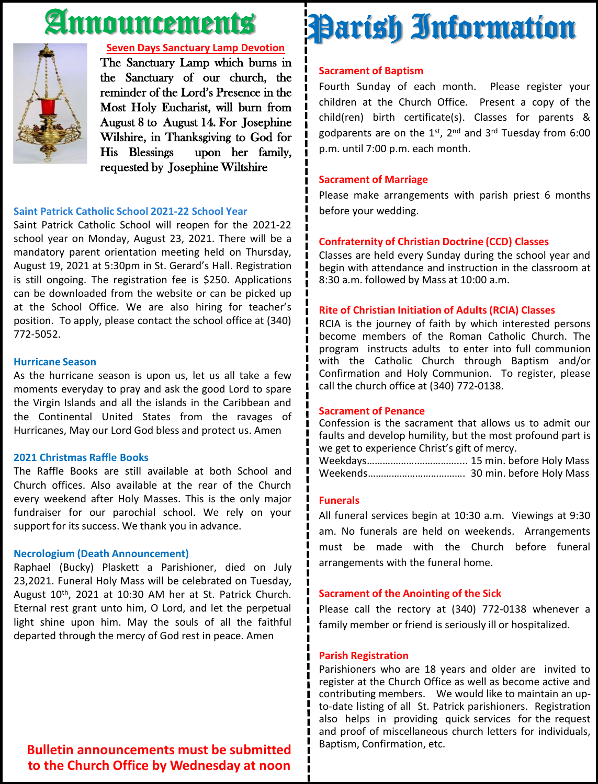## Announcements



#### **Seven Days Sanctuary Lamp Devotion**

The Sanctuary Lamp which burns in the Sanctuary of our church, the reminder of the Lord's Presence in the Most Holy Eucharist, will burn from August 8 to August 14. For Josephine Wilshire, in Thanksgiving to God for His Blessings upon her family, requested by Josephine Wiltshire

#### **Saint Patrick Catholic School 2021-22 School Year**

Saint Patrick Catholic School will reopen for the 2021-22 school year on Monday, August 23, 2021. There will be a mandatory parent orientation meeting held on Thursday, August 19, 2021 at 5:30pm in St. Gerard's Hall. Registration is still ongoing. The registration fee is \$250. Applications can be downloaded from the website or can be picked up at the School Office. We are also hiring for teacher's position. To apply, please contact the school office at (340) 772-5052.

#### **Hurricane Season**

As the hurricane season is upon us, let us all take a few moments everyday to pray and ask the good Lord to spare the Virgin Islands and all the islands in the Caribbean and the Continental United States from the ravages of Hurricanes, May our Lord God bless and protect us. Amen

#### **2021 Christmas Raffle Books**

The Raffle Books are still available at both School and Church offices. Also available at the rear of the Church every weekend after Holy Masses. This is the only major fundraiser for our parochial school. We rely on your support for its success. We thank you in advance.

#### **Necrologium (Death Announcement)**

Raphael (Bucky) Plaskett a Parishioner, died on July 23,2021. Funeral Holy Mass will be celebrated on Tuesday, August 10<sup>th</sup>, 2021 at 10:30 AM her at St. Patrick Church. Eternal rest grant unto him, O Lord, and let the perpetual light shine upon him. May the souls of all the faithful departed through the mercy of God rest in peace. Amen

## Please make arrangements with parish priest 6 months before your wedding.

#### **Confraternity of Christian Doctrine (CCD) Classes**

Classes are held every Sunday during the school year and begin with attendance and instruction in the classroom at 8:30 a.m. followed by Mass at 10:00 a.m.

#### **Rite of Christian Initiation of Adults (RCIA) Classes**

RCIA is the journey of faith by which interested persons become members of the Roman Catholic Church. The program instructs adults to enter into full communion with the Catholic Church through Baptism and/or Confirmation and Holy Communion. To register, please call the church office at (340) 772-0138.

#### **Sacrament of Penance**

Confession is the sacrament that allows us to admit our faults and develop humility, but the most profound part is we get to experience Christ's gift of mercy.

Weekdays……………….…………….... 15 min. before Holy Mass Weekends………………………………. 30 min. before Holy Mass

#### **Funerals**

All funeral services begin at 10:30 a.m. Viewings at 9:30 am. No funerals are held on weekends. Arrangements must be made with the Church before funeral arrangements with the funeral home.

#### **Sacrament of the Anointing of the Sick**

Please call the rectory at (340) 772-0138 whenever a family member or friend is seriously ill or hospitalized.

#### **Parish Registration**

Parishioners who are 18 years and older are invited to register at the Church Office as well as become active and contributing members. We would like to maintain an upto-date listing of all St. Patrick parishioners. Registration also helps in providing quick services for the request and proof of miscellaneous church letters for individuals, Baptism, Confirmation, etc.

**Bulletin announcements must be submitted to the Church Office by Wednesday at noon**

## Parish Information

#### **Sacrament of Baptism**

**Sacrament of Marriage**

Fourth Sunday of each month. Please register your children at the Church Office. Present a copy of the child(ren) birth certificate(s). Classes for parents & godparents are on the 1st, 2<sup>nd</sup> and 3<sup>rd</sup> Tuesday from 6:00 p.m. until 7:00 p.m. each month.